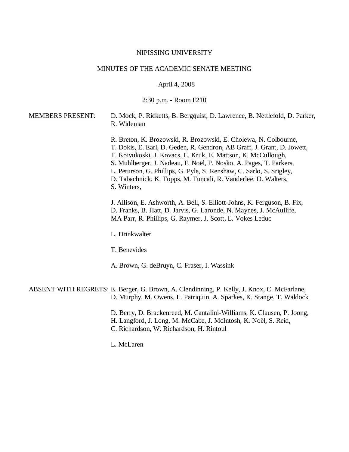### NIPISSING UNIVERSITY

# MINUTES OF THE ACADEMIC SENATE MEETING

### April 4, 2008

#### 2:30 p.m. - Room F210

## MEMBERS PRESENT: D. Mock, P. Ricketts, B. Bergquist, D. Lawrence, B. Nettlefold, D. Parker, R. Wideman

R. Breton, K. Brozowski, R. Brozowski, E. Cholewa, N. Colbourne, T. Dokis, E. Earl, D. Geden, R. Gendron, AB Graff, J. Grant, D. Jowett, T. Koivukoski, J. Kovacs, L. Kruk, E. Mattson, K. McCullough, S. Muhlberger, J. Nadeau, F. Noël, P. Nosko, A. Pages, T. Parkers, L. Peturson, G. Phillips, G. Pyle, S. Renshaw, C. Sarlo, S. Srigley,

D. Tabachnick, K. Topps, M. Tuncali, R. Vanderlee, D. Walters, S. Winters,

J. Allison, E. Ashworth, A. Bell, S. Elliott-Johns, K. Ferguson, B. Fix, D. Franks, B. Hatt, D. Jarvis, G. Laronde, N. Maynes, J. McAullife, MA Parr, R. Phillips, G. Raymer, J. Scott, L. Vokes Leduc

L. Drinkwalter

T. Benevides

A. Brown, G. deBruyn, C. Fraser, I. Wassink

### ABSENT WITH REGRETS: E. Berger, G. Brown, A. Clendinning, P. Kelly, J. Knox, C. McFarlane, D. Murphy, M. Owens, L. Patriquin, A. Sparkes, K. Stange, T. Waldock

- D. Berry, D. Brackenreed, M. Cantalini-Williams, K. Clausen, P. Joong,
- H. Langford, J. Long, M. McCabe, J. McIntosh, K. Noël, S. Reid,
- C. Richardson, W. Richardson, H. Rintoul
- L. McLaren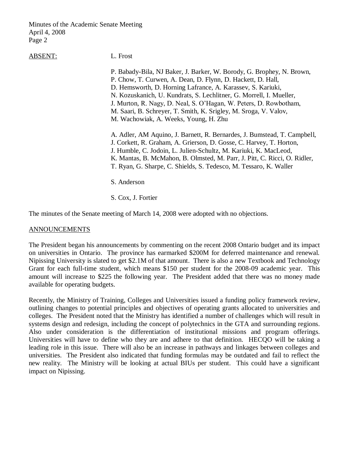ABSENT: L. Frost

P. Babady-Bila, NJ Baker, J. Barker, W. Borody, G. Brophey, N. Brown, P. Chow, T. Curwen, A. Dean, D. Flynn, D. Hackett, D. Hall, D. Hemsworth, D. Horning Lafrance, A. Karassev, S. Kariuki, N. Kozuskanich, U. Kundrats, S. Lechlitner, G. Morrell, I. Mueller, J. Murton, R. Nagy, D. Neal, S. O'Hagan, W. Peters, D. Rowbotham, M. Saari, B. Schreyer, T. Smith, K. Srigley, M. Sroga, V. Valov, M. Wachowiak, A. Weeks, Young, H. Zhu

A. Adler, AM Aquino, J. Barnett, R. Bernardes, J. Bumstead, T. Campbell, J. Corkett, R. Graham, A. Grierson, D. Gosse, C. Harvey, T. Horton, J. Humble, C. Jodoin, L. Julien-Schultz, M. Kariuki, K. MacLeod, K. Mantas, B. McMahon, B. Olmsted, M. Parr, J. Pitt, C. Ricci, O. Ridler, T. Ryan, G. Sharpe, C. Shields, S. Tedesco, M. Tessaro, K. Waller

S. Anderson

S. Cox, J. Fortier

The minutes of the Senate meeting of March 14, 2008 were adopted with no objections.

## **ANNOUNCEMENTS**

The President began his announcements by commenting on the recent 2008 Ontario budget and its impact on universities in Ontario. The province has earmarked \$200M for deferred maintenance and renewal. Nipissing University is slated to get \$2.1M of that amount. There is also a new Textbook and Technology Grant for each full-time student, which means \$150 per student for the 2008-09 academic year. This amount will increase to \$225 the following year. The President added that there was no money made available for operating budgets.

Recently, the Ministry of Training, Colleges and Universities issued a funding policy framework review, outlining changes to potential principles and objectives of operating grants allocated to universities and colleges. The President noted that the Ministry has identified a number of challenges which will result in systems design and redesign, including the concept of polytechnics in the GTA and surrounding regions. Also under consideration is the differentiation of institutional missions and program offerings. Universities will have to define who they are and adhere to that definition. HECQO will be taking a leading role in this issue. There will also be an increase in pathways and linkages between colleges and universities. The President also indicated that funding formulas may be outdated and fail to reflect the new reality. The Ministry will be looking at actual BIUs per student. This could have a significant impact on Nipissing.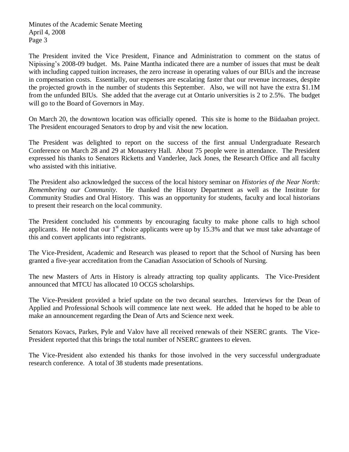The President invited the Vice President, Finance and Administration to comment on the status of Nipissing's 2008-09 budget. Ms. Paine Mantha indicated there are a number of issues that must be dealt with including capped tuition increases, the zero increase in operating values of our BIUs and the increase in compensation costs. Essentially, our expenses are escalating faster that our revenue increases, despite the projected growth in the number of students this September. Also, we will not have the extra \$1.1M from the unfunded BIUs. She added that the average cut at Ontario universities is 2 to 2.5%. The budget will go to the Board of Governors in May.

On March 20, the downtown location was officially opened. This site is home to the Biidaaban project. The President encouraged Senators to drop by and visit the new location.

The President was delighted to report on the success of the first annual Undergraduate Research Conference on March 28 and 29 at Monastery Hall. About 75 people were in attendance. The President expressed his thanks to Senators Ricketts and Vanderlee, Jack Jones, the Research Office and all faculty who assisted with this initiative.

The President also acknowledged the success of the local history seminar on *Histories of the Near North: Remembering our Community.* He thanked the History Department as well as the Institute for Community Studies and Oral History. This was an opportunity for students, faculty and local historians to present their research on the local community.

The President concluded his comments by encouraging faculty to make phone calls to high school applicants. He noted that our  $1<sup>st</sup>$  choice applicants were up by 15.3% and that we must take advantage of this and convert applicants into registrants.

The Vice-President, Academic and Research was pleased to report that the School of Nursing has been granted a five-year accreditation from the Canadian Association of Schools of Nursing.

The new Masters of Arts in History is already attracting top quality applicants. The Vice-President announced that MTCU has allocated 10 OCGS scholarships.

The Vice-President provided a brief update on the two decanal searches. Interviews for the Dean of Applied and Professional Schools will commence late next week. He added that he hoped to be able to make an announcement regarding the Dean of Arts and Science next week.

Senators Kovacs, Parkes, Pyle and Valov have all received renewals of their NSERC grants. The Vice-President reported that this brings the total number of NSERC grantees to eleven.

The Vice-President also extended his thanks for those involved in the very successful undergraduate research conference. A total of 38 students made presentations.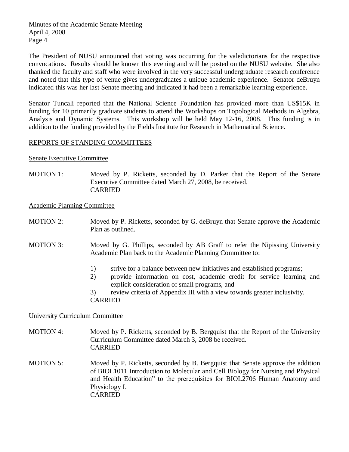The President of NUSU announced that voting was occurring for the valedictorians for the respective convocations. Results should be known this evening and will be posted on the NUSU website. She also thanked the faculty and staff who were involved in the very successful undergraduate research conference and noted that this type of venue gives undergraduates a unique academic experience. Senator deBruyn indicated this was her last Senate meeting and indicated it had been a remarkable learning experience.

Senator Tuncali reported that the National Science Foundation has provided more than US\$15K in funding for 10 primarily graduate students to attend the Workshops on Topological Methods in Algebra, Analysis and Dynamic Systems. This workshop will be held May 12-16, 2008. This funding is in addition to the funding provided by the Fields Institute for Research in Mathematical Science.

# REPORTS OF STANDING COMMITTEES

Senate Executive Committee

MOTION 1: Moved by P. Ricketts, seconded by D. Parker that the Report of the Senate Executive Committee dated March 27, 2008, be received. CARRIED

Academic Planning Committee

- MOTION 2: Moved by P. Ricketts, seconded by G. deBruyn that Senate approve the Academic Plan as outlined.
- MOTION 3: Moved by G. Phillips, seconded by AB Graff to refer the Nipissing University Academic Plan back to the Academic Planning Committee to:
	- 1) strive for a balance between new initiatives and established programs;
	- 2) provide information on cost, academic credit for service learning and explicit consideration of small programs, and
	- 3) review criteria of Appendix III with a view towards greater inclusivity. CARRIED

# University Curriculum Committee

- MOTION 4: Moved by P. Ricketts, seconded by B. Bergquist that the Report of the University Curriculum Committee dated March 3, 2008 be received. CARRIED
- MOTION 5: Moved by P. Ricketts, seconded by B. Bergquist that Senate approve the addition of BIOL1011 Introduction to Molecular and Cell Biology for Nursing and Physical and Health Education" to the prerequisites for BIOL2706 Human Anatomy and Physiology I. CARRIED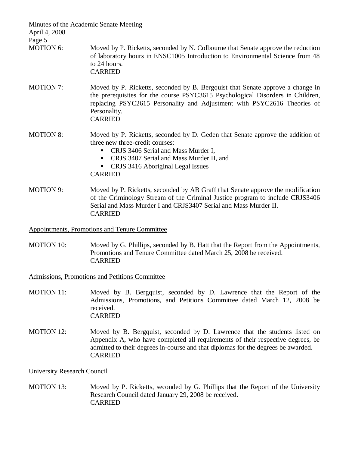| Minutes of the Academic Senate Meeting<br>April 4, 2008<br>Page 5 |                                                                                                                                                                                                                                                                               |
|-------------------------------------------------------------------|-------------------------------------------------------------------------------------------------------------------------------------------------------------------------------------------------------------------------------------------------------------------------------|
| MOTION 6:                                                         | Moved by P. Ricketts, seconded by N. Colbourne that Senate approve the reduction<br>of laboratory hours in ENSC1005 Introduction to Environmental Science from 48<br>to 24 hours.<br><b>CARRIED</b>                                                                           |
| <b>MOTION 7:</b>                                                  | Moved by P. Ricketts, seconded by B. Bergquist that Senate approve a change in<br>the prerequisites for the course PSYC3615 Psychological Disorders in Children,<br>replacing PSYC2615 Personality and Adjustment with PSYC2616 Theories of<br>Personality.<br><b>CARRIED</b> |
| <b>MOTION 8:</b>                                                  | Moved by P. Ricketts, seconded by D. Geden that Senate approve the addition of<br>three new three-credit courses:<br>CRJS 3406 Serial and Mass Murder I,<br>п<br>CRJS 3407 Serial and Mass Murder II, and<br>٠<br>CRJS 3416 Aboriginal Legal Issues<br><b>CARRIED</b>         |
| <b>MOTION 9:</b>                                                  | Moved by P. Ricketts, seconded by AB Graff that Senate approve the modification<br>of the Criminology Stream of the Criminal Justice program to include CRJS3406<br>Serial and Mass Murder I and CRJS3407 Serial and Mass Murder II.<br><b>CARRIED</b>                        |
|                                                                   | <b>Appointments, Promotions and Tenure Committee</b>                                                                                                                                                                                                                          |

MOTION 10: Moved by G. Phillips, seconded by B. Hatt that the Report from the Appointments, Promotions and Tenure Committee dated March 25, 2008 be received. CARRIED

Admissions, Promotions and Petitions Committee

- MOTION 11: Moved by B. Bergquist, seconded by D. Lawrence that the Report of the Admissions, Promotions, and Petitions Committee dated March 12, 2008 be received. CARRIED
- MOTION 12: Moved by B. Bergquist, seconded by D. Lawrence that the students listed on Appendix A, who have completed all requirements of their respective degrees, be admitted to their degrees in-course and that diplomas for the degrees be awarded. CARRIED

University Research Council

MOTION 13: Moved by P. Ricketts, seconded by G. Phillips that the Report of the University Research Council dated January 29, 2008 be received. CARRIED